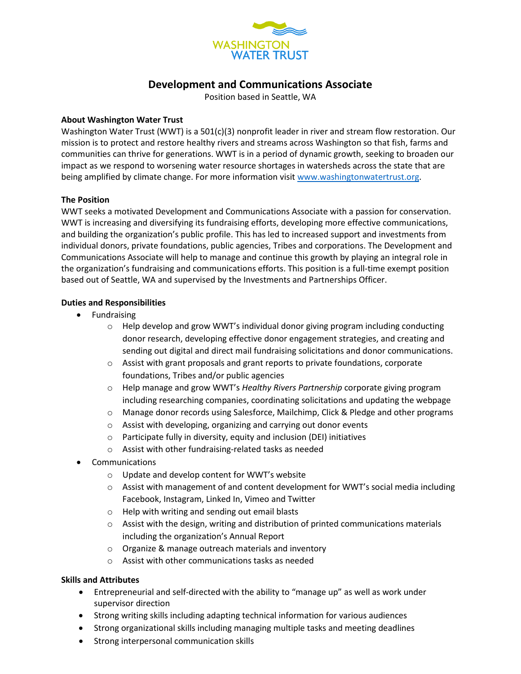

# **Development and Communications Associate**

Position based in Seattle, WA

### **About Washington Water Trust**

Washington Water Trust (WWT) is a 501(c)(3) nonprofit leader in river and stream flow restoration. Our mission is to protect and restore healthy rivers and streams across Washington so that fish, farms and communities can thrive for generations. WWT is in a period of dynamic growth, seeking to broaden our impact as we respond to worsening water resource shortages in watersheds across the state that are being amplified by climate change. For more information visit [www.washingtonwatertrust.org.](http://www.washingtonwatertrust.org/)

### **The Position**

WWT seeks a motivated Development and Communications Associate with a passion for conservation. WWT is increasing and diversifying its fundraising efforts, developing more effective communications, and building the organization's public profile. This has led to increased support and investments from individual donors, private foundations, public agencies, Tribes and corporations. The Development and Communications Associate will help to manage and continue this growth by playing an integral role in the organization's fundraising and communications efforts. This position is a full-time exempt position based out of Seattle, WA and supervised by the Investments and Partnerships Officer.

### **Duties and Responsibilities**

- Fundraising
	- $\circ$  Help develop and grow WWT's individual donor giving program including conducting donor research, developing effective donor engagement strategies, and creating and sending out digital and direct mail fundraising solicitations and donor communications.
	- $\circ$  Assist with grant proposals and grant reports to private foundations, corporate foundations, Tribes and/or public agencies
	- o Help manage and grow WWT's *Healthy Rivers Partnership* corporate giving program including researching companies, coordinating solicitations and updating the webpage
	- o Manage donor records using Salesforce, Mailchimp, Click & Pledge and other programs
	- o Assist with developing, organizing and carrying out donor events
	- o Participate fully in diversity, equity and inclusion (DEI) initiatives
	- o Assist with other fundraising-related tasks as needed
- **Communications** 
	- o Update and develop content for WWT's website
	- $\circ$  Assist with management of and content development for WWT's social media including Facebook, Instagram, Linked In, Vimeo and Twitter
	- o Help with writing and sending out email blasts
	- $\circ$  Assist with the design, writing and distribution of printed communications materials including the organization's Annual Report
	- o Organize & manage outreach materials and inventory
	- o Assist with other communications tasks as needed

### **Skills and Attributes**

- Entrepreneurial and self-directed with the ability to "manage up" as well as work under supervisor direction
- Strong writing skills including adapting technical information for various audiences
- Strong organizational skills including managing multiple tasks and meeting deadlines
- Strong interpersonal communication skills